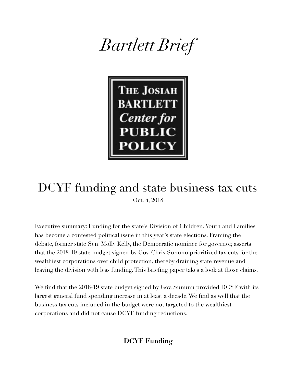



## DCYF funding and state business tax cuts Oct. 4, 2018

Executive summary: Funding for the state's Division of Children, Youth and Families has become a contested political issue in this year's state elections. Framing the debate, former state Sen. Molly Kelly, the Democratic nominee for governor, asserts that the 2018-19 state budget signed by Gov. Chris Sununu prioritized tax cuts for the wealthiest corporations over child protection, thereby draining state revenue and leaving the division with less funding. This briefing paper takes a look at those claims.

We find that the 2018-19 state budget signed by Gov. Sununu provided DCYF with its largest general fund spending increase in at least a decade. We find as well that the business tax cuts included in the budget were not targeted to the wealthiest corporations and did not cause DCYF funding reductions.

## **DCYF Funding**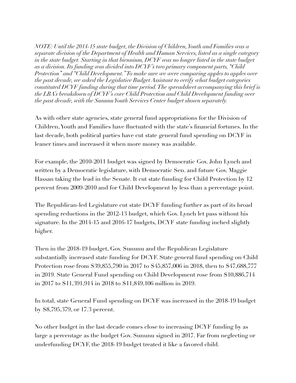*NOTE: Until the 2014-15 state budget, the Division of Children, Youth and Families was a separate division of the Department of Health and Human Services, listed as a single category in the state budget. Starting in that biennium, DCYF was no longer listed in the state budget as a division. Its funding was divided into DCYF's two primary component parts, "Child Protection" and "Child Development." To make sure we were comparing apples to apples over the past decade, we asked the Legislative Budget Assistant to verify what budget categories constituted DCYF funding during that time period. The spreadsheet accompanying this brief is the LBA's breakdown of DCYF's core Child Protection and Child Development funding over the past decade, with the Sununu Youth Services Center budget shown separately.* 

As with other state agencies, state general fund appropriations for the Division of Children, Youth and Families have fluctuated with the state's financial fortunes. In the last decade, both political parties have cut state general fund spending on DCYF in leaner times and increased it when more money was available.

For example, the 2010-2011 budget was signed by Democratic Gov. John Lynch and written by a Democratic legislature, with Democratic Sen. and future Gov. Maggie Hassan taking the lead in the Senate. It cut state funding for Child Protection by 12 percent from 2009-2010 and for Child Development by less than a percentage point.

The Republican-led Legislature cut state DCYF funding further as part of its broad spending reductions in the 2012-13 budget, which Gov. Lynch let pass without his signature. In the 2014-15 and 2016-17 budgets, DCYF state funding inched slightly higher.

Then in the 2018-19 budget, Gov. Sununu and the Republican Legislature substantially increased state funding for DCYF. State general fund spending on Child Protection rose from \$39,855,790 in 2017 to \$45,857,006 in 2018, then to \$47,688,777 in 2019. State General Fund spending on Child Development rose from \$10,886,714 in 2017 to \$11,391,914 in 2018 to \$11,849,106 million in 2019.

In total, state General Fund spending on DCYF was increased in the 2018-19 budget by \$8,795,379, or 17.3 percent.

No other budget in the last decade comes close to increasing DCYF funding by as large a percentage as the budget Gov. Sununu signed in 2017. Far from neglecting or underfunding DCYF, the 2018-19 budget treated it like a favored child.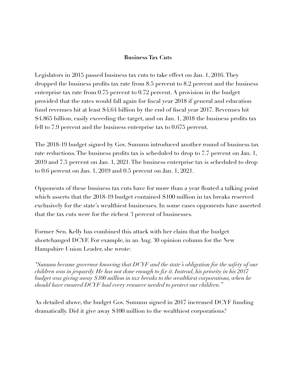## **Business Tax Cuts**

Legislators in 2015 passed business tax cuts to take effect on Jan. 1, 2016. They dropped the business profits tax rate from 8.5 percent to 8.2 percent and the business enterprise tax rate from 0.75 percent to 0.72 percent. A provision in the budget provided that the rates would fall again for fiscal year 2018 if general and education fund revenues hit at least \$4.64 billion by the end of fiscal year 2017. Revenues hit \$4.865 billion, easily exceeding the target, and on Jan. 1, 2018 the business profits tax fell to 7.9 percent and the business enterprise tax to 0.675 percent.

The 2018-19 budget signed by Gov. Sununu introduced another round of business tax rate reductions. The business profits tax is scheduled to drop to 7.7 percent on Jan. 1, 2019 and 7.5 percent on Jan. 1, 2021. The business enterprise tax is scheduled to drop to 0.6 percent on Jan. 1, 2019 and 0.5 percent on Jan. 1, 2021.

Opponents of these business tax cuts have for more than a year floated a talking point which asserts that the 2018-19 budget contained \$100 million in tax breaks reserved exclusively for the state's wealthiest businesses. In some cases opponents have asserted that the tax cuts were for the richest 3 percent of businesses.

Former Sen. Kelly has combined this attack with her claim that the budget shortchanged DCYF. For example, in an Aug. 30 opinion column for the New Hampshire Union Leader, she wrote:

*"Sununu became governor knowing that DCYF and the state's obligation for the safety of our children was in jeopardy. He has not done enough to fix it. Instead, his priority in his 2017 budget was giving away \$100 million in tax breaks to the wealthiest corporations, when he should have ensured DCYF had every resource needed to protect our children."* 

As detailed above, the budget Gov. Sununu signed in 2017 increased DCYF funding dramatically. Did it give away \$100 million to the wealthiest corporations?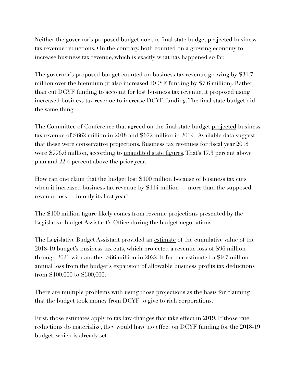Neither the governor's proposed budget nor the final state budget projected business tax revenue reductions. On the contrary, both counted on a growing economy to increase business tax revenue, which is exactly what has happened so far.

The governor's proposed budget counted on business tax revenue growing by \$31.7 million over the biennium (it also increased DCYF funding by \$7.6 million). Rather than cut DCYF funding to account for lost business tax revenue, it proposed using increased business tax revenue to increase DCYF funding. The final state budget did the same thing.

The Committee of Conference that agreed on the final state budget <u>[projected](http://www.gencourt.state.nh.us/lba/Budget/operating_budgets/2018_2019/CoC/CoC%20revenue%20estimates-June%2020%202017.pdf)</u> business tax revenue of \$662 million in 2018 and \$672 million in 2019. Available data suggest that these were conservative projections. Business tax revenues for fiscal year 2018 were \$776.6 million, according to *unaudited state figures*. That's 17.3 percent above plan and 22.4 percent above the prior year.

How can one claim that the budget lost \$100 million because of business tax cuts when it increased business tax revenue by \$114 million — more than the supposed revenue loss — in only its first year?

The \$100 million figure likely comes from revenue projections presented by the Legislative Budget Assistant's Office during the budget negotiations.

The Legislative Budget Assistant provided an <u>estimate</u> of the cumulative value of the 2018-19 budget's business tax cuts, which projected a revenue loss of \$96 million through 2021 with another \$86 million in 2022. It further [estimated](http://www.gencourt.state.nh.us/LBA/Budget/operating_budgets/2018_2019/CoC/Surplus%20Statement%20FINAL%206-14-17.pdf) a \$9.7 million annual loss from the budget's expansion of allowable business profits tax deductions from \$100.000 to \$500,000.

There are multiple problems with using those projections as the basis for claiming that the budget took money from DCYF to give to rich corporations.

First, those estimates apply to tax law changes that take effect in 2019. If those rate reductions do materialize, they would have no effect on DCYF funding for the 2018-19 budget, which is already set.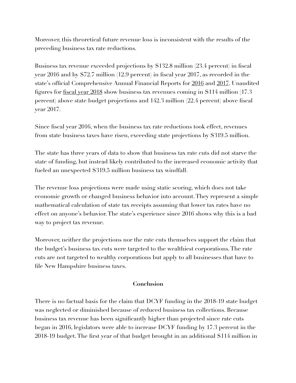Moreover, this theoretical future revenue loss is inconsistent with the results of the preceding business tax rate reductions.

Business tax revenue exceeded projections by \$132.8 million (23.4 percent) in fiscal year 2016 and by \$72.7 million (12.9 percent) in fiscal year 2017, as recorded in the state's official Comprehensive Annual Financial Reports for [2016](https://das.nh.gov/accounting/FY%2016/CAFR%20FY16.pdf) and [2017](https://das.nh.gov/accounting/FY%2017/FY_2017_Comprehensive_Annual_Financial_Report.pdf). Unaudited figures for [fiscal year 2018](https://das.nh.gov/accounting/FY%2018/Monthly_Rev_June_18_Preliminary_Accrual-Unaudited.pdf) show business tax revenues coming in \$114 million (17.3 percent) above state budget projections and 142.3 million (22.4 percent) above fiscal year 2017.

Since fiscal year 2016, when the business tax rate reductions took effect, revenues from state business taxes have risen, exceeding state projections by \$319.5 million.

The state has three years of data to show that business tax rate cuts did not starve the state of funding, but instead likely contributed to the increased economic activity that fueled an unexpected \$319.5 million business tax windfall.

The revenue loss projections were made using static scoring, which does not take economic growth or changed business behavior into account. They represent a simple mathematical calculation of state tax receipts assuming that lower tax rates have no effect on anyone's behavior. The state's experience since 2016 shows why this is a bad way to project tax revenue.

Moreover, neither the projections nor the rate cuts themselves support the claim that the budget's business tax cuts were targeted to the wealthiest corporations. The rate cuts are not targeted to wealthy corporations but apply to all businesses that have to file New Hampshire business taxes.

## **Conclusion**

There is no factual basis for the claim that DCYF funding in the 2018-19 state budget was neglected or diminished because of reduced business tax collections. Because business tax revenue has been significantly higher than projected since rate cuts began in 2016, legislators were able to increase DCYF funding by 17.3 percent in the 2018-19 budget. The first year of that budget brought in an additional \$114 million in